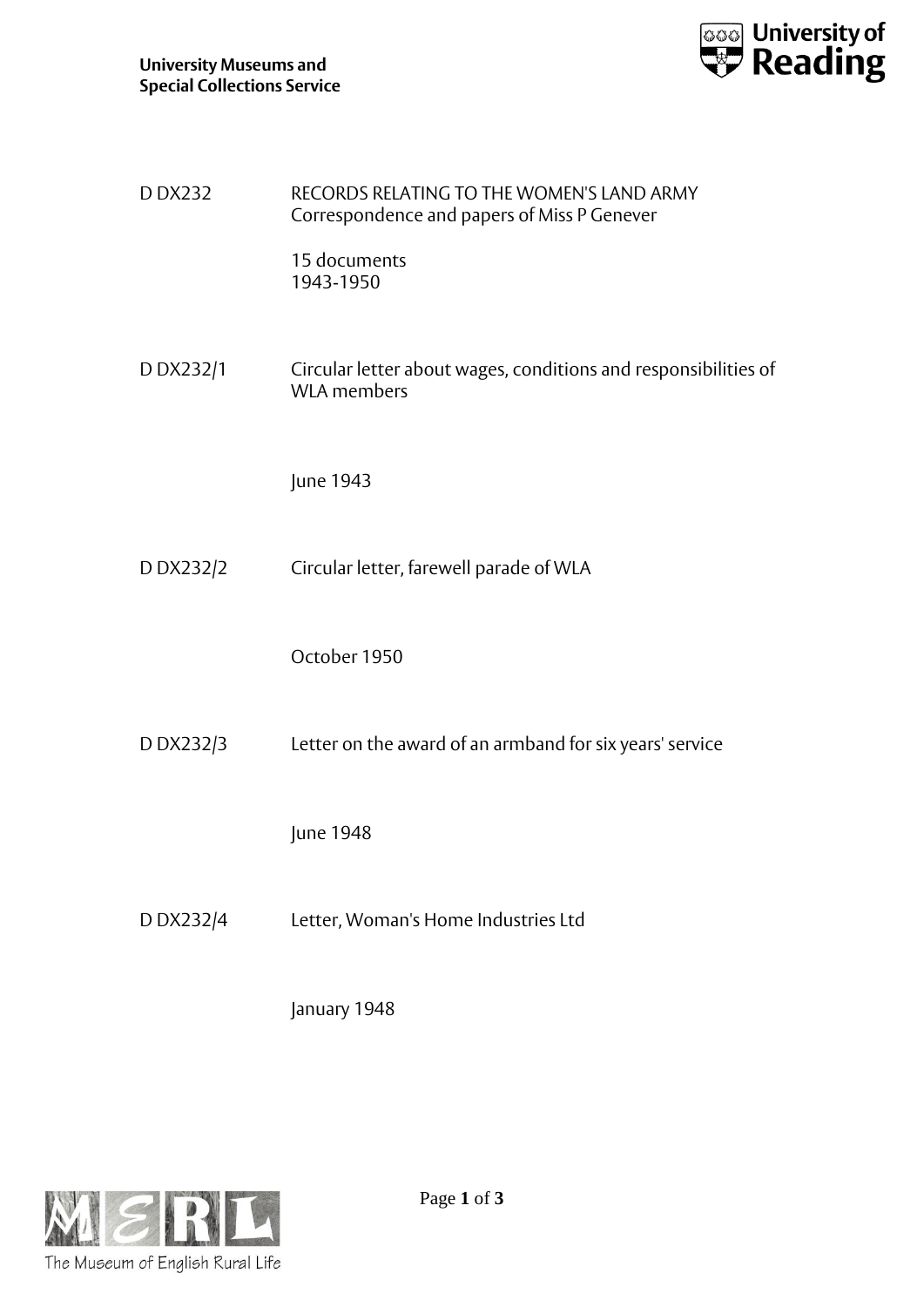

| D DX232   | RECORDS RELATING TO THE WOMEN'S LAND ARMY<br>Correspondence and papers of Miss P Genever |
|-----------|------------------------------------------------------------------------------------------|
|           | 15 documents<br>1943-1950                                                                |
| D DX232/1 | Circular letter about wages, conditions and responsibilities of<br><b>WLA</b> members    |
|           | June 1943                                                                                |
| D DX232/2 | Circular letter, farewell parade of WLA                                                  |
|           | October 1950                                                                             |
| D DX232/3 | Letter on the award of an armband for six years' service                                 |
|           | June 1948                                                                                |
| D DX232/4 | Letter, Woman's Home Industries Ltd                                                      |
|           | January 1948                                                                             |

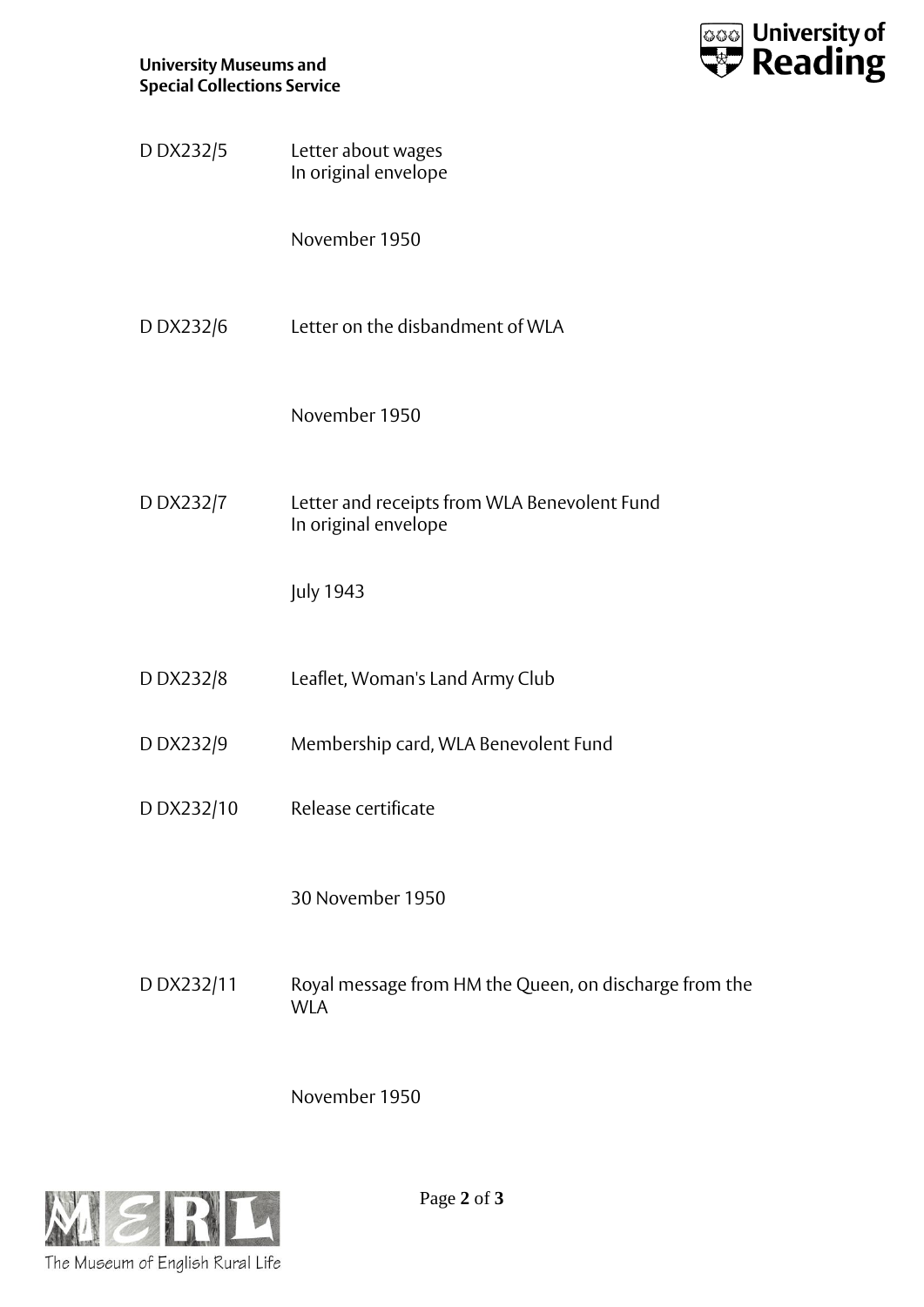

| D DX232/5  | Letter about wages<br>In original envelope                           |
|------------|----------------------------------------------------------------------|
|            | November 1950                                                        |
| D DX232/6  | Letter on the disbandment of WLA                                     |
|            | November 1950                                                        |
| D DX232/7  | Letter and receipts from WLA Benevolent Fund<br>In original envelope |
|            | <b>July 1943</b>                                                     |
| D DX232/8  | Leaflet, Woman's Land Army Club                                      |
| D DX232/9  | Membership card, WLA Benevolent Fund                                 |
| D DX232/10 | Release certificate                                                  |
|            | 30 November 1950                                                     |
| DDX232/11  | Royal message from HM the Queen, on discharge from the<br><b>WLA</b> |

November 1950



Page **2** of **3**